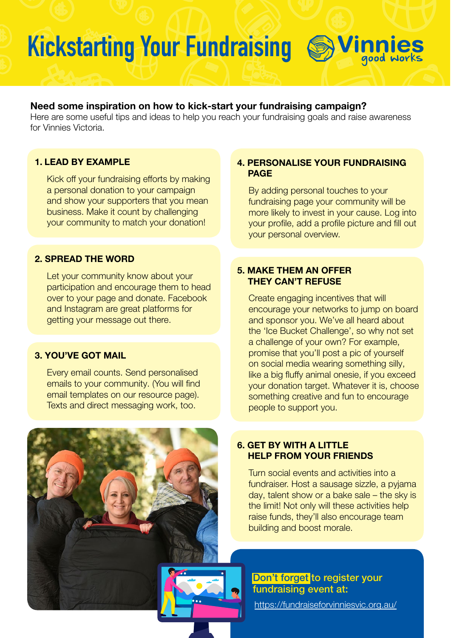# Kickstarting Your Fundraising SVinnies

### Need some inspiration on how to kick-start your fundraising campaign?

Here are some useful tips and ideas to help you reach your fundraising goals and raise awareness for Vinnies Victoria.

### 1. LEAD BY EXAMPLE

Kick off your fundraising efforts by making a personal donation to your campaign and show your supporters that you mean business. Make it count by challenging your community to match your donation!

### 2. SPREAD THE WORD

Let your community know about your participation and encourage them to head over to your page and donate. Facebook and Instagram are great platforms for getting your message out there.

### 3. YOU'VE GOT MAIL

Every email counts. Send personalised emails to your community. (You will find email templates on our resource page). Texts and direct messaging work, too.

### 4. PERSONALISE YOUR FUNDRAISING PAGE

By adding personal touches to your fundraising page your community will be more likely to invest in your cause. Log into your profile, add a profile picture and fill out your personal overview.

### 5. MAKE THEM AN OFFER THEY CAN'T REFUSE

Create engaging incentives that will encourage your networks to jump on board and sponsor you. We've all heard about the 'Ice Bucket Challenge', so why not set a challenge of your own? For example, promise that you'll post a pic of yourself on social media wearing something silly, like a big fluffy animal onesie, if you exceed your donation target. Whatever it is, choose something creative and fun to encourage people to support you.

### 6. GET BY WITH A LITTLE HELP FROM YOUR FRIENDS

Turn social events and activities into a fundraiser. Host a sausage sizzle, a pyjama day, talent show or a bake sale – the sky is the limit! Not only will these activities help raise funds, they'll also encourage team building and boost morale.

### Don't forget to register your fundraising event at:

<https://fundraiseforvinniesvic.org.au/>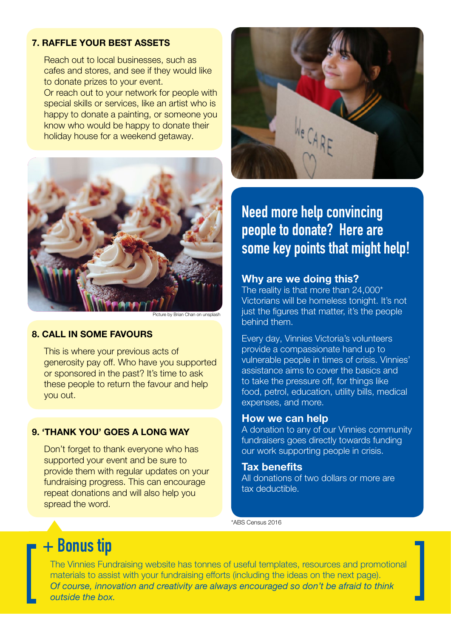### 7. RAFFLE YOUR BEST ASSETS

Reach out to local businesses, such as cafes and stores, and see if they would like to donate prizes to your event.

Or reach out to your network for people with special skills or services, like an artist who is happy to donate a painting, or someone you know who would be happy to donate their holiday house for a weekend getaway.



icture by Brian Chan on unsplash

#### 8. CALL IN SOME FAVOURS

This is where your previous acts of generosity pay off. Who have you supported or sponsored in the past? It's time to ask these people to return the favour and help you out.

### 9. 'THANK YOU' GOES A LONG WAY

Don't forget to thank everyone who has supported your event and be sure to provide them with regular updates on your fundraising progress. This can encourage repeat donations and will also help you spread the word.



## Need more help convincing people to donate? Here are some key points that might help!

### Why are we doing this?

The reality is that more than 24,000\* Victorians will be homeless tonight. It's not just the figures that matter, it's the people behind them.

Every day, Vinnies Victoria's volunteers provide a compassionate hand up to vulnerable people in times of crisis. Vinnies' assistance aims to cover the basics and to take the pressure off, for things like food, petrol, education, utility bills, medical expenses, and more.

### How we can help

A donation to any of our Vinnies community fundraisers goes directly towards funding our work supporting people in crisis.

### Tax benefits

All donations of two dollars or more are tax deductible.

\*ABS Census 2016

## + Bonus tip

The Vinnies Fundraising website has tonnes of useful templates, resources and promotional materials to assist with your fundraising efforts (including the ideas on the next page). *Of course, innovation and creativity are always encouraged so don't be afraid to think outside the box.*